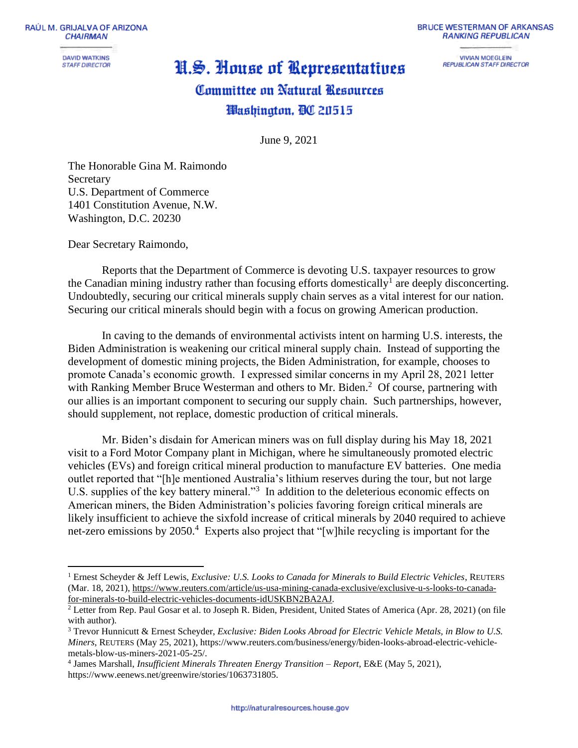RAÚL M. GRIJALVA OF ARIZONA **CHAIRMAN** 

> **DAVID WATKINS STAFF DIRECTOR**

## **BRUCE WESTERMAN OF ARKANSAS RANKING REPUBLICAN**

**VIVIAN MOEGLEIN REPUBLICAN STAFF DIRECTOR** 

## H.S. House of Representatives Committee on Natural Resources Washington, OC 20515

June 9, 2021

The Honorable Gina M. Raimondo Secretary U.S. Department of Commerce 1401 Constitution Avenue, N.W. Washington, D.C. 20230

Dear Secretary Raimondo,

Reports that the Department of Commerce is devoting U.S. taxpayer resources to grow the Canadian mining industry rather than focusing efforts domestically<sup>1</sup> are deeply disconcerting. Undoubtedly, securing our critical minerals supply chain serves as a vital interest for our nation. Securing our critical minerals should begin with a focus on growing American production.

In caving to the demands of environmental activists intent on harming U.S. interests, the Biden Administration is weakening our critical mineral supply chain. Instead of supporting the development of domestic mining projects, the Biden Administration, for example, chooses to promote Canada's economic growth. I expressed similar concerns in my April 28, 2021 letter with Ranking Member Bruce Westerman and others to Mr. Biden.<sup>2</sup> Of course, partnering with our allies is an important component to securing our supply chain. Such partnerships, however, should supplement, not replace, domestic production of critical minerals.

Mr. Biden's disdain for American miners was on full display during his May 18, 2021 visit to a Ford Motor Company plant in Michigan, where he simultaneously promoted electric vehicles (EVs) and foreign critical mineral production to manufacture EV batteries. One media outlet reported that "[h]e mentioned Australia's lithium reserves during the tour, but not large U.S. supplies of the key battery mineral."<sup>3</sup> In addition to the deleterious economic effects on American miners, the Biden Administration's policies favoring foreign critical minerals are likely insufficient to achieve the sixfold increase of critical minerals by 2040 required to achieve net-zero emissions by 2050.<sup>4</sup> Experts also project that "[w]hile recycling is important for the

<sup>1</sup> Ernest Scheyder & Jeff Lewis, *Exclusive: U.S. Looks to Canada for Minerals to Build Electric Vehicles*, REUTERS (Mar. 18, 2021), [https://www.reuters.com/article/us-usa-mining-canada-exclusive/exclusive-u-s-looks-to-canada](https://www.reuters.com/article/us-usa-mining-canada-exclusive/exclusive-u-s-looks-to-canada-for-minerals-to-build-electric-vehicles-documents-idUSKBN2BA2AJ)[for-minerals-to-build-electric-vehicles-documents-idUSKBN2BA2AJ.](https://www.reuters.com/article/us-usa-mining-canada-exclusive/exclusive-u-s-looks-to-canada-for-minerals-to-build-electric-vehicles-documents-idUSKBN2BA2AJ)

<sup>&</sup>lt;sup>2</sup> Letter from Rep. Paul Gosar et al. to Joseph R. Biden, President, United States of America (Apr. 28, 2021) (on file with author).

<sup>3</sup> Trevor Hunnicutt & Ernest Scheyder, *Exclusive: Biden Looks Abroad for Electric Vehicle Metals, in Blow to U.S. Miners*, REUTERS (May 25, 2021), https://www.reuters.com/business/energy/biden-looks-abroad-electric-vehiclemetals-blow-us-miners-2021-05-25/.

<sup>4</sup> James Marshall, *Insufficient Minerals Threaten Energy Transition – Report*, E&E (May 5, 2021), https://www.eenews.net/greenwire/stories/1063731805.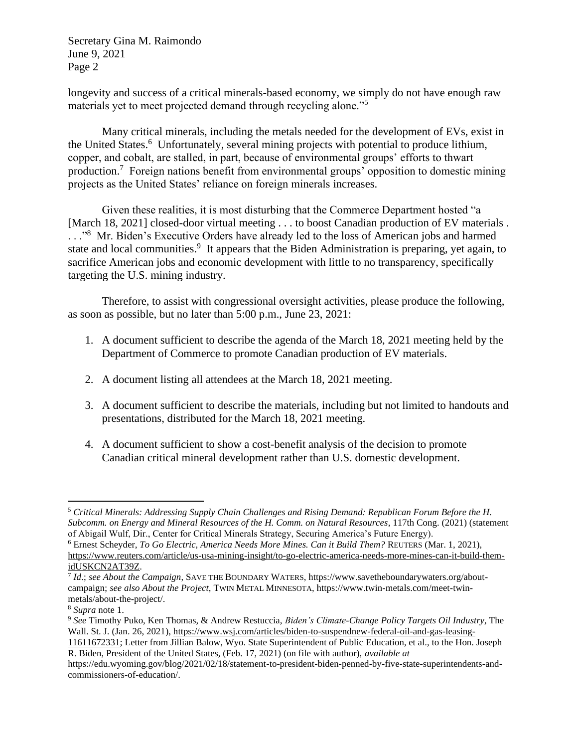Secretary Gina M. Raimondo June 9, 2021 Page 2

longevity and success of a critical minerals-based economy, we simply do not have enough raw materials yet to meet projected demand through recycling alone."<sup>5</sup>

Many critical minerals, including the metals needed for the development of EVs, exist in the United States.<sup>6</sup> Unfortunately, several mining projects with potential to produce lithium, copper, and cobalt, are stalled, in part, because of environmental groups' efforts to thwart production.<sup>7</sup> Foreign nations benefit from environmental groups' opposition to domestic mining projects as the United States' reliance on foreign minerals increases.

Given these realities, it is most disturbing that the Commerce Department hosted "a [March 18, 2021] closed-door virtual meeting . . . to boost Canadian production of EV materials . ..."<sup>8</sup> Mr. Biden's Executive Orders have already led to the loss of American jobs and harmed state and local communities.<sup>9</sup> It appears that the Biden Administration is preparing, yet again, to sacrifice American jobs and economic development with little to no transparency, specifically targeting the U.S. mining industry.

Therefore, to assist with congressional oversight activities, please produce the following, as soon as possible, but no later than 5:00 p.m., June 23, 2021:

- 1. A document sufficient to describe the agenda of the March 18, 2021 meeting held by the Department of Commerce to promote Canadian production of EV materials.
- 2. A document listing all attendees at the March 18, 2021 meeting.
- 3. A document sufficient to describe the materials, including but not limited to handouts and presentations, distributed for the March 18, 2021 meeting.
- 4. A document sufficient to show a cost-benefit analysis of the decision to promote Canadian critical mineral development rather than U.S. domestic development.

<sup>5</sup> *Critical Minerals: Addressing Supply Chain Challenges and Rising Demand: Republican Forum Before the H. Subcomm. on Energy and Mineral Resources of the H. Comm. on Natural Resources*, 117th Cong. (2021) (statement of Abigail Wulf, Dir., Center for Critical Minerals Strategy, Securing America's Future Energy).

<sup>6</sup> Ernest Scheyder, *To Go Electric, America Needs More Mines. Can it Build Them?* REUTERS (Mar. 1, 2021), [https://www.reuters.com/article/us-usa-mining-insight/to-go-electric-america-needs-more-mines-can-it-build-them](https://www.reuters.com/article/us-usa-mining-insight/to-go-electric-america-needs-more-mines-can-it-build-them-idUSKCN2AT39Z)[idUSKCN2AT39Z.](https://www.reuters.com/article/us-usa-mining-insight/to-go-electric-america-needs-more-mines-can-it-build-them-idUSKCN2AT39Z)

<sup>7</sup> *Id*.; *see About the Campaign*, SAVE THE BOUNDARY WATERS, https://www.savetheboundarywaters.org/aboutcampaign; *see also About the Project*, TWIN METAL MINNESOTA, https://www.twin-metals.com/meet-twinmetals/about-the-project/.

<sup>8</sup> *Supra* note 1.

<sup>9</sup> *See* Timothy Puko, Ken Thomas, & Andrew Restuccia, *Biden's Climate-Change Policy Targets Oil Industry*, The Wall. St. J. (Jan. 26, 2021)[, https://www.wsj.com/articles/biden-to-suspendnew-federal-oil-and-gas-leasing-](https://www.wsj.com/articles/biden-to-suspendnew-federal-oil-and-gas-leasing-11611672331)

[<sup>11611672331;</sup>](https://www.wsj.com/articles/biden-to-suspendnew-federal-oil-and-gas-leasing-11611672331) Letter from Jillian Balow, Wyo. State Superintendent of Public Education, et al., to the Hon. Joseph R. Biden, President of the United States, (Feb. 17, 2021) (on file with author), *available at*

https://edu.wyoming.gov/blog/2021/02/18/statement-to-president-biden-penned-by-five-state-superintendents-andcommissioners-of-education/.